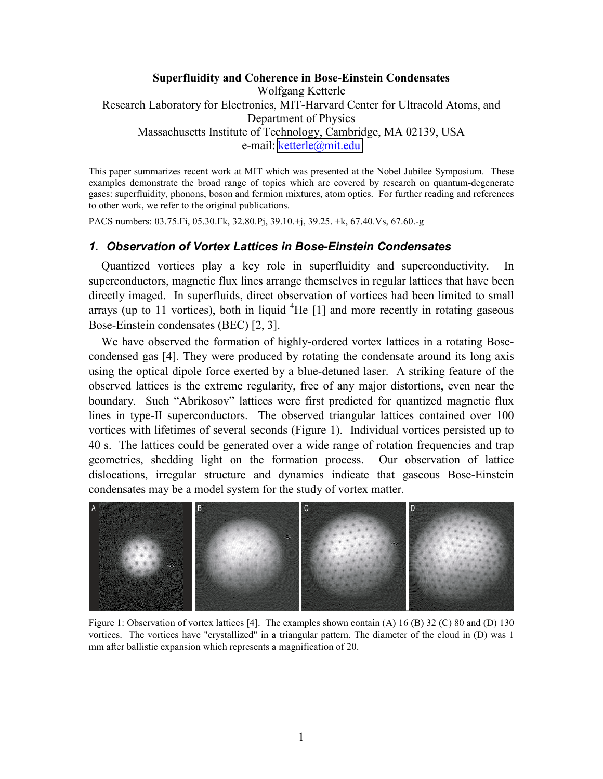# **Superfluidity and Coherence in Bose-Einstein Condensates**  Wolfgang Ketterle Research Laboratory for Electronics, MIT-Harvard Center for Ultracold Atoms, and Department of Physics Massachusetts Institute of Technology, Cambridge, MA 02139, USA e-mail: [ketterle@mit.edu](mailto:ketterle@mit.edu)

This paper summarizes recent work at MIT which was presented at the Nobel Jubilee Symposium. These examples demonstrate the broad range of topics which are covered by research on quantum-degenerate gases: superfluidity, phonons, boson and fermion mixtures, atom optics. For further reading and references to other work, we refer to the original publications.

PACS numbers: 03.75.Fi, 05.30.Fk, 32.80.Pj, 39.10.+j, 39.25. +k, 67.40.Vs, 67.60.-g

## *1. Observation of Vortex Lattices in Bose-Einstein Condensates*

Quantized vortices play a key role in superfluidity and superconductivity. In superconductors, magnetic flux lines arrange themselves in regular lattices that have been directly imaged. In superfluids, direct observation of vortices had been limited to small arrays (up to 11 vortices), both in liquid  ${}^{4}$ He [1] and more recently in rotating gaseous Bose-Einstein condensates (BEC) [2, 3].

We have observed the formation of highly-ordered vortex lattices in a rotating Bosecondensed gas [4]. They were produced by rotating the condensate around its long axis using the optical dipole force exerted by a blue-detuned laser. A striking feature of the observed lattices is the extreme regularity, free of any major distortions, even near the boundary. Such "Abrikosov" lattices were first predicted for quantized magnetic flux lines in type-II superconductors. The observed triangular lattices contained over 100 vortices with lifetimes of several seconds (Figure 1). Individual vortices persisted up to 40 s. The lattices could be generated over a wide range of rotation frequencies and trap geometries, shedding light on the formation process. Our observation of lattice dislocations, irregular structure and dynamics indicate that gaseous Bose-Einstein condensates may be a model system for the study of vortex matter.



Figure 1: Observation of vortex lattices [4]. The examples shown contain (A) 16 (B) 32 (C) 80 and (D) 130 vortices. The vortices have "crystallized" in a triangular pattern. The diameter of the cloud in (D) was 1 mm after ballistic expansion which represents a magnification of 20.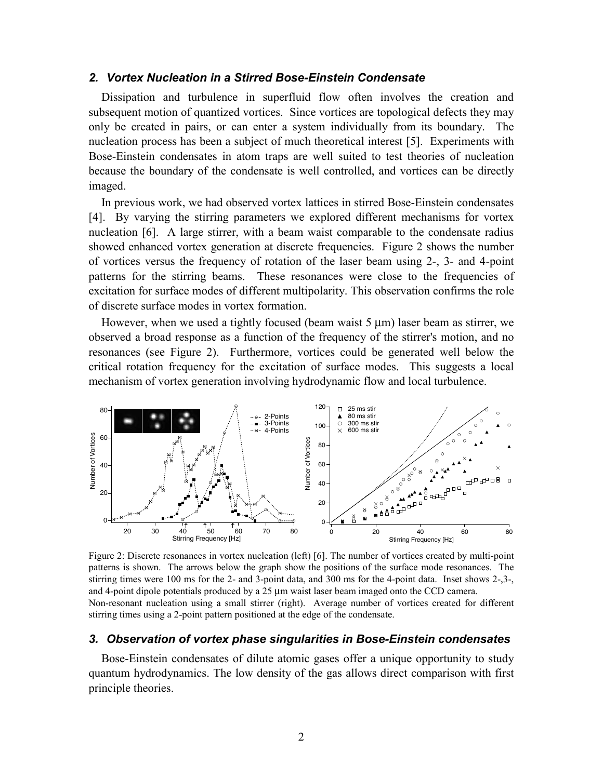## *2. Vortex Nucleation in a Stirred Bose-Einstein Condensate*

Dissipation and turbulence in superfluid flow often involves the creation and subsequent motion of quantized vortices. Since vortices are topological defects they may only be created in pairs, or can enter a system individually from its boundary. The nucleation process has been a subject of much theoretical interest [5]. Experiments with Bose-Einstein condensates in atom traps are well suited to test theories of nucleation because the boundary of the condensate is well controlled, and vortices can be directly imaged.

In previous work, we had observed vortex lattices in stirred Bose-Einstein condensates [4]. By varying the stirring parameters we explored different mechanisms for vortex nucleation [6]. A large stirrer, with a beam waist comparable to the condensate radius showed enhanced vortex generation at discrete frequencies. Figure 2 shows the number of vortices versus the frequency of rotation of the laser beam using 2-, 3- and 4-point patterns for the stirring beams. These resonances were close to the frequencies of excitation for surface modes of different multipolarity. This observation confirms the role of discrete surface modes in vortex formation.

However, when we used a tightly focused (beam waist  $5 \mu m$ ) laser beam as stirrer, we observed a broad response as a function of the frequency of the stirrer's motion, and no resonances (see Figure 2). Furthermore, vortices could be generated well below the critical rotation frequency for the excitation of surface modes. This suggests a local mechanism of vortex generation involving hydrodynamic flow and local turbulence.



Figure 2: Discrete resonances in vortex nucleation (left) [6]. The number of vortices created by multi-point patterns is shown. The arrows below the graph show the positions of the surface mode resonances. The stirring times were 100 ms for the 2- and 3-point data, and 300 ms for the 4-point data. Inset shows 2-,3-, and 4-point dipole potentials produced by a 25 µm waist laser beam imaged onto the CCD camera. Non-resonant nucleation using a small stirrer (right). Average number of vortices created for different stirring times using a 2-point pattern positioned at the edge of the condensate.

### *3. Observation of vortex phase singularities in Bose-Einstein condensates*

Bose-Einstein condensates of dilute atomic gases offer a unique opportunity to study quantum hydrodynamics. The low density of the gas allows direct comparison with first principle theories.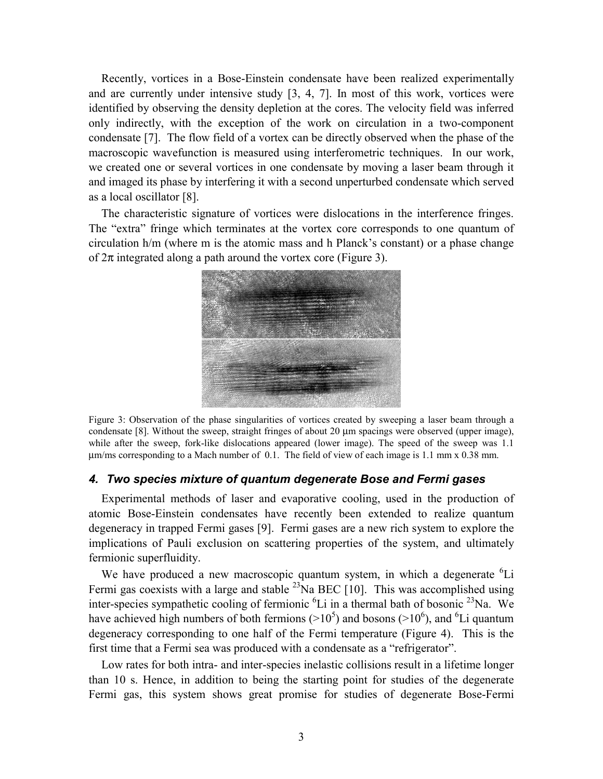Recently, vortices in a Bose-Einstein condensate have been realized experimentally and are currently under intensive study [3, 4, 7]. In most of this work, vortices were identified by observing the density depletion at the cores. The velocity field was inferred only indirectly, with the exception of the work on circulation in a two-component condensate [7]. The flow field of a vortex can be directly observed when the phase of the macroscopic wavefunction is measured using interferometric techniques. In our work, we created one or several vortices in one condensate by moving a laser beam through it and imaged its phase by interfering it with a second unperturbed condensate which served as a local oscillator [8].

The characteristic signature of vortices were dislocations in the interference fringes. The "extra" fringe which terminates at the vortex core corresponds to one quantum of circulation h/m (where m is the atomic mass and h Planck's constant) or a phase change of  $2\pi$  integrated along a path around the vortex core (Figure 3).



Figure 3: Observation of the phase singularities of vortices created by sweeping a laser beam through a condensate [8]. Without the sweep, straight fringes of about 20  $\mu$ m spacings were observed (upper image), while after the sweep, fork-like dislocations appeared (lower image). The speed of the sweep was 1.1 µm/ms corresponding to a Mach number of 0.1. The field of view of each image is 1.1 mm x 0.38 mm.

#### *4. Two species mixture of quantum degenerate Bose and Fermi gases*

Experimental methods of laser and evaporative cooling, used in the production of atomic Bose-Einstein condensates have recently been extended to realize quantum degeneracy in trapped Fermi gases [9]. Fermi gases are a new rich system to explore the implications of Pauli exclusion on scattering properties of the system, and ultimately fermionic superfluidity.

We have produced a new macroscopic quantum system, in which a degenerate <sup>6</sup>Li Fermi gas coexists with a large and stable  $^{23}$ Na BEC [10]. This was accomplished using inter-species sympathetic cooling of fermionic  ${}^{6}Li$  in a thermal bath of bosonic  ${}^{23}Na$ . We have achieved high numbers of both fermions ( $>10^5$ ) and bosons ( $>10^6$ ), and <sup>6</sup>Li quantum degeneracy corresponding to one half of the Fermi temperature (Figure 4). This is the first time that a Fermi sea was produced with a condensate as a "refrigerator".

Low rates for both intra- and inter-species inelastic collisions result in a lifetime longer than 10 s. Hence, in addition to being the starting point for studies of the degenerate Fermi gas, this system shows great promise for studies of degenerate Bose-Fermi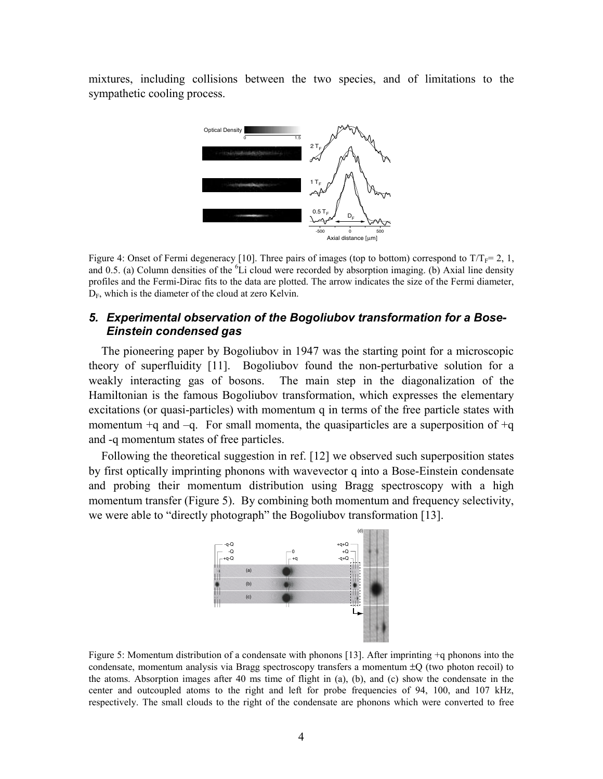mixtures, including collisions between the two species, and of limitations to the sympathetic cooling process.



Figure 4: Onset of Fermi degeneracy [10]. Three pairs of images (top to bottom) correspond to  $T/T_F=2, 1$ , and 0.5. (a) Column densities of the  ${}^{6}Li$  cloud were recorded by absorption imaging. (b) Axial line density profiles and the Fermi-Dirac fits to the data are plotted. The arrow indicates the size of the Fermi diameter,  $D_F$ , which is the diameter of the cloud at zero Kelvin.

## *5. Experimental observation of the Bogoliubov transformation for a Bose-Einstein condensed gas*

The pioneering paper by Bogoliubov in 1947 was the starting point for a microscopic theory of superfluidity [11]. Bogoliubov found the non-perturbative solution for a weakly interacting gas of bosons. The main step in the diagonalization of the Hamiltonian is the famous Bogoliubov transformation, which expresses the elementary excitations (or quasi-particles) with momentum q in terms of the free particle states with momentum  $+q$  and  $-q$ . For small momenta, the quasiparticles are a superposition of  $+q$ and -q momentum states of free particles.

Following the theoretical suggestion in ref. [12] we observed such superposition states by first optically imprinting phonons with wavevector q into a Bose-Einstein condensate and probing their momentum distribution using Bragg spectroscopy with a high momentum transfer (Figure 5). By combining both momentum and frequency selectivity, we were able to "directly photograph" the Bogoliubov transformation [13].



Figure 5: Momentum distribution of a condensate with phonons [13]. After imprinting +q phonons into the condensate, momentum analysis via Bragg spectroscopy transfers a momentum  $\pm$ O (two photon recoil) to the atoms. Absorption images after 40 ms time of flight in (a), (b), and (c) show the condensate in the center and outcoupled atoms to the right and left for probe frequencies of 94, 100, and 107 kHz, respectively. The small clouds to the right of the condensate are phonons which were converted to free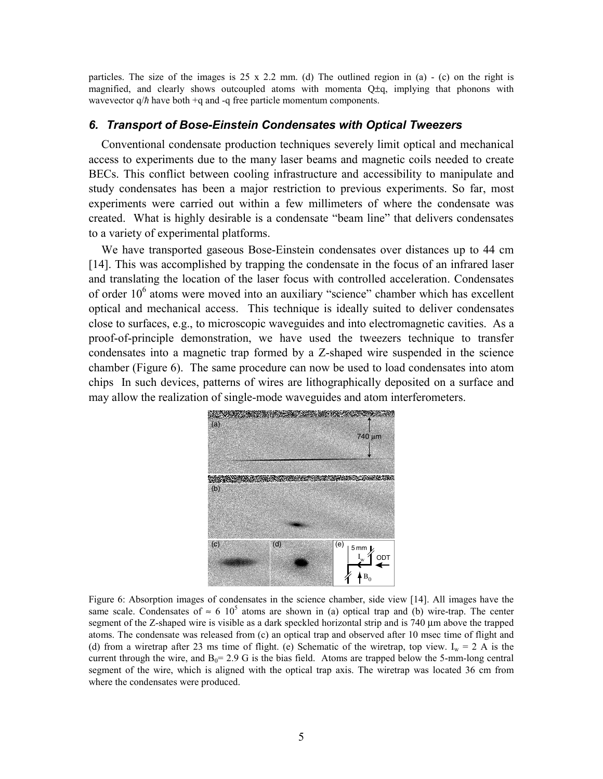particles. The size of the images is  $25 \times 2.2$  mm. (d) The outlined region in (a) - (c) on the right is magnified, and clearly shows outcoupled atoms with momenta  $Q\pm q$ , implying that phonons with wavevector  $q/\hbar$  have both +q and -q free particle momentum components.

### *6. Transport of Bose-Einstein Condensates with Optical Tweezers*

Conventional condensate production techniques severely limit optical and mechanical access to experiments due to the many laser beams and magnetic coils needed to create BECs. This conflict between cooling infrastructure and accessibility to manipulate and study condensates has been a major restriction to previous experiments. So far, most experiments were carried out within a few millimeters of where the condensate was created. What is highly desirable is a condensate "beam line" that delivers condensates to a variety of experimental platforms.

We have transported gaseous Bose-Einstein condensates over distances up to 44 cm [14]. This was accomplished by trapping the condensate in the focus of an infrared laser and translating the location of the laser focus with controlled acceleration. Condensates of order  $10<sup>6</sup>$  atoms were moved into an auxiliary "science" chamber which has excellent optical and mechanical access. This technique is ideally suited to deliver condensates close to surfaces, e.g., to microscopic waveguides and into electromagnetic cavities. As a proof-of-principle demonstration, we have used the tweezers technique to transfer condensates into a magnetic trap formed by a Z-shaped wire suspended in the science chamber (Figure 6). The same procedure can now be used to load condensates into atom chips In such devices, patterns of wires are lithographically deposited on a surface and may allow the realization of single-mode waveguides and atom interferometers.



Figure 6: Absorption images of condensates in the science chamber, side view [14]. All images have the same scale. Condensates of  $\approx 6 \cdot 10^5$  atoms are shown in (a) optical trap and (b) wire-trap. The center segment of the Z-shaped wire is visible as a dark speckled horizontal strip and is 740 µm above the trapped atoms. The condensate was released from (c) an optical trap and observed after 10 msec time of flight and (d) from a wiretrap after 23 ms time of flight. (e) Schematic of the wiretrap, top view. I<sub>w</sub> = 2 A is the current through the wire, and  $B_0 = 2.9$  G is the bias field. Atoms are trapped below the 5-mm-long central segment of the wire, which is aligned with the optical trap axis. The wiretrap was located 36 cm from where the condensates were produced.